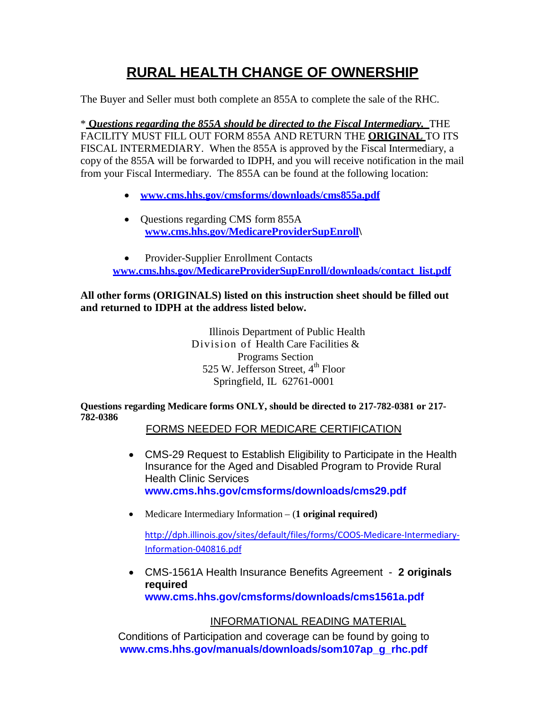## **RURAL HEALTH CHANGE OF OWNERSHIP**

The Buyer and Seller must both complete an 855A to complete the sale of the RHC.

\* **Q***uestions regarding the 855A should be directed to the Fiscal Intermediary.* THE FACILITY MUST FILL OUT FORM 855A AND RETURN THE **ORIGINAL** TO ITS FISCAL INTERMEDIARY. When the 855A is approved by the Fiscal Intermediary, a copy of the 855A will be forwarded to IDPH, and you will receive notification in the mail from your Fiscal Intermediary. The 855A can be found at the following location:

- **[www.cms.hhs.gov/cmsforms/downloads/cms855a.pdf](http://www.cms.hhs.gov/cmsforms/downloads/cms855a.pdf)**
- Questions regarding CMS form 855A **[www.cms.hhs.gov/MedicareProviderSupEnroll\](http://www.cms.hhs.gov/MedicareProviderSupEnroll)**

• Provider-Supplier Enrollment Contacts **[www.cms.hhs.gov/MedicareProviderSupEnroll/downloads/contact\\_list.pdf](http://www.cms.hhs.gov/MedicareProviderSupEnroll/downloads/contact_list.pdf)**

## **All other forms (ORIGINALS) listed on this instruction sheet should be filled out and returned to IDPH at the address listed below.**

Illinois Department of Public Health Division of Health Care Facilities & Programs Section 525 W. Jefferson Street, 4<sup>th</sup> Floor Springfield, IL 62761-0001

**Questions regarding Medicare forms ONLY, should be directed to 217-782-0381 or 217- 782-0386**

FORMS NEEDED FOR MEDICARE CERTIFICATION

- CMS-29 Request to Establish Eligibility to Participate in the Health Insurance for the Aged and Disabled Program to Provide Rural Health Clinic Services **[www.cms.hhs.gov/cmsforms/downloads/cms29.pdf](http://www.cms.hhs.gov/cmsforms/downloads/cms29.pdf)**
- Medicare Intermediary Information (**1 original required)**

[http://dph.illinois.gov/sites/default/files/forms/COOS-Medicare-Intermediary-](http://dph.illinois.gov/sites/default/files/forms/COOS-Medicare-Intermediary-Information-040816.pdf)[Information-040816.pdf](http://dph.illinois.gov/sites/default/files/forms/COOS-Medicare-Intermediary-Information-040816.pdf)

• CMS-1561A Health Insurance Benefits Agreement - **2 originals required**

**[www.cms.hhs.gov/cmsforms/downloads/cms1561a.pdf](http://www.cms.hhs.gov/cmsforms/downloads/cms1561a.pdf)**

## INFORMATIONAL READING MATERIAL

Conditions of Participation and coverage can be found by going to **[www.cms.hhs.gov/manuals/downloads/som107ap\\_g\\_rhc.pdf](http://www.cms.hhs.gov/manuals/downloads/som107ap_g_rhc.pdf)**